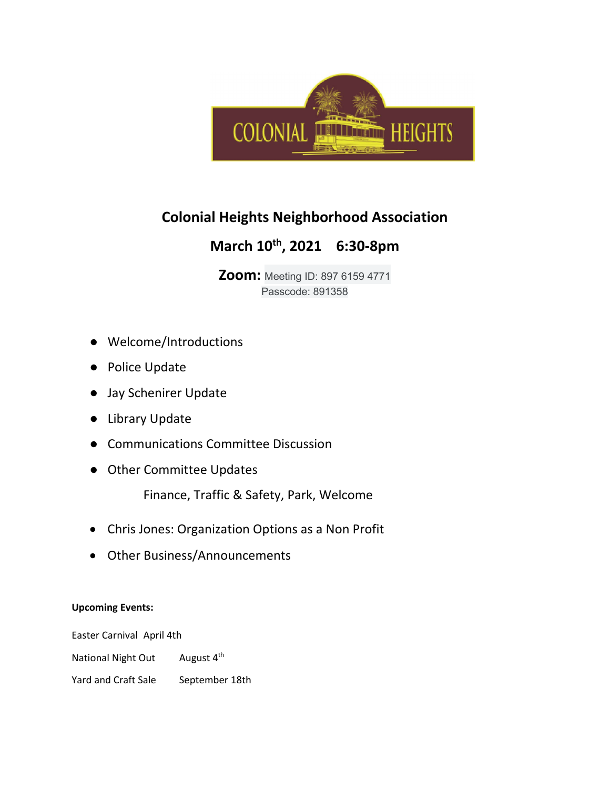

## **Colonial Heights Neighborhood Association**

## **March 10th, 2021 6:30-8pm**

**Zoom:** Meeting ID: 897 6159 4771 Passcode: 891358

- Welcome/Introductions
- Police Update
- Jay Schenirer Update
- Library Update
- Communications Committee Discussion
- Other Committee Updates

Finance, Traffic & Safety, Park, Welcome

- Chris Jones: Organization Options as a Non Profit
- Other Business/Announcements

## **Upcoming Events:**

Easter Carnival April 4th National Night Out August 4<sup>th</sup> Yard and Craft Sale September 18th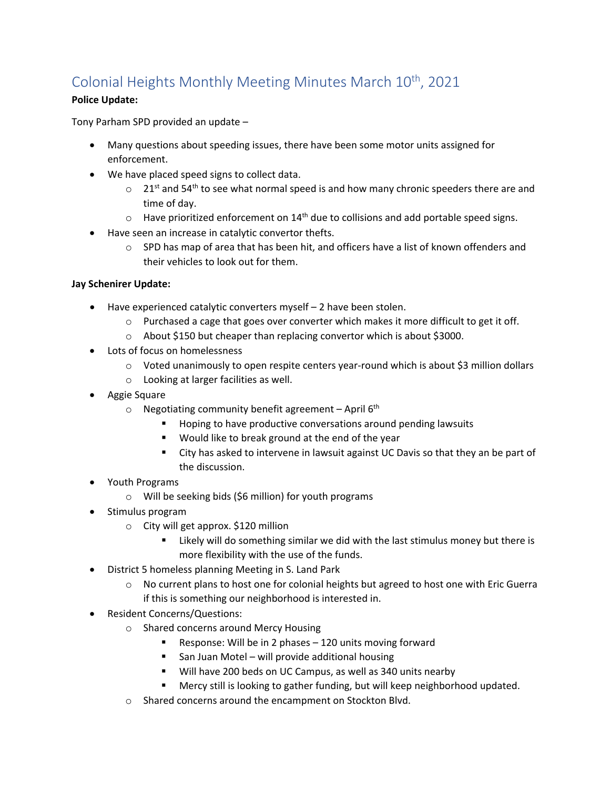# Colonial Heights Monthly Meeting Minutes March 10<sup>th</sup>, 2021

## **Police Update:**

Tony Parham SPD provided an update –

- Many questions about speeding issues, there have been some motor units assigned for enforcement.
- We have placed speed signs to collect data.
	- $\circ$  21<sup>st</sup> and 54<sup>th</sup> to see what normal speed is and how many chronic speeders there are and time of day.
	- $\circ$  Have prioritized enforcement on 14<sup>th</sup> due to collisions and add portable speed signs.
- Have seen an increase in catalytic convertor thefts.
	- $\circ$  SPD has map of area that has been hit, and officers have a list of known offenders and their vehicles to look out for them.

## **Jay Schenirer Update:**

- Have experienced catalytic converters myself 2 have been stolen.
	- $\circ$  Purchased a cage that goes over converter which makes it more difficult to get it off.
	- o About \$150 but cheaper than replacing convertor which is about \$3000.
- Lots of focus on homelessness
	- o Voted unanimously to open respite centers year-round which is about \$3 million dollars
	- o Looking at larger facilities as well.
- Aggie Square
	- $\circ$  Negotiating community benefit agreement April 6<sup>th</sup>
		- **Hoping to have productive conversations around pending lawsuits**
		- **Would like to break ground at the end of the year**
		- City has asked to intervene in lawsuit against UC Davis so that they an be part of the discussion.
- Youth Programs
	- o Will be seeking bids (\$6 million) for youth programs
- Stimulus program
	- o City will get approx. \$120 million
		- Likely will do something similar we did with the last stimulus money but there is more flexibility with the use of the funds.
- District 5 homeless planning Meeting in S. Land Park
	- o No current plans to host one for colonial heights but agreed to host one with Eric Guerra if this is something our neighborhood is interested in.
- Resident Concerns/Questions:
	- o Shared concerns around Mercy Housing
		- Response: Will be in 2 phases  $-120$  units moving forward
		- San Juan Motel will provide additional housing
		- Will have 200 beds on UC Campus, as well as 340 units nearby
		- Mercy still is looking to gather funding, but will keep neighborhood updated.
	- o Shared concerns around the encampment on Stockton Blvd.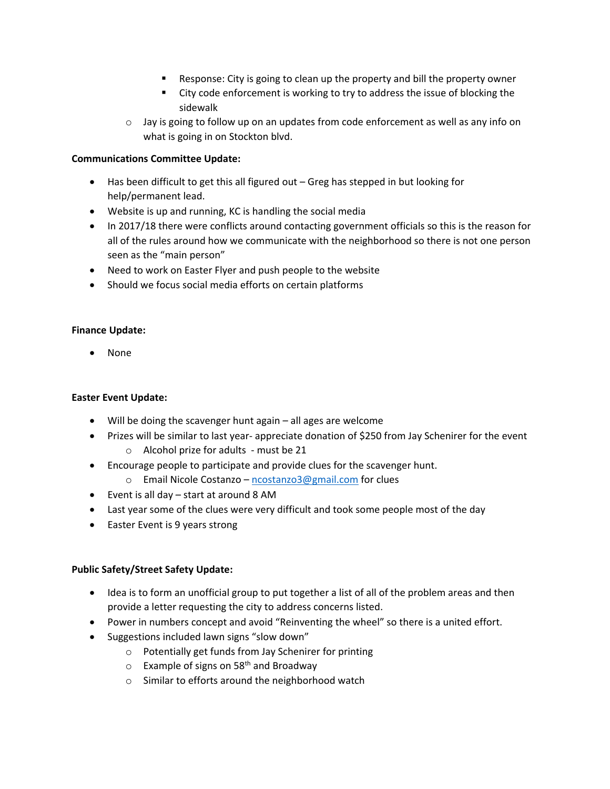- Response: City is going to clean up the property and bill the property owner
- City code enforcement is working to try to address the issue of blocking the sidewalk
- $\circ$  Jay is going to follow up on an updates from code enforcement as well as any info on what is going in on Stockton blvd.

## **Communications Committee Update:**

- Has been difficult to get this all figured out Greg has stepped in but looking for help/permanent lead.
- Website is up and running, KC is handling the social media
- In 2017/18 there were conflicts around contacting government officials so this is the reason for all of the rules around how we communicate with the neighborhood so there is not one person seen as the "main person"
- Need to work on Easter Flyer and push people to the website
- Should we focus social media efforts on certain platforms

#### **Finance Update:**

• None

### **Easter Event Update:**

- Will be doing the scavenger hunt again all ages are welcome
- Prizes will be similar to last year- appreciate donation of \$250 from Jay Schenirer for the event
	- o Alcohol prize for adults must be 21
- Encourage people to participate and provide clues for the scavenger hunt.
	- o Email Nicole Costanzo – [ncostanzo3@gmail.com](mailto:ncostanzo3@gmail.com) for clues
- Event is all day start at around 8 AM
- Last year some of the clues were very difficult and took some people most of the day
- Easter Event is 9 years strong

## **Public Safety/Street Safety Update:**

- Idea is to form an unofficial group to put together a list of all of the problem areas and then provide a letter requesting the city to address concerns listed.
- Power in numbers concept and avoid "Reinventing the wheel" so there is a united effort.
- Suggestions included lawn signs "slow down"
	- o Potentially get funds from Jay Schenirer for printing
	- $\circ$  Example of signs on 58<sup>th</sup> and Broadway
	- o Similar to efforts around the neighborhood watch